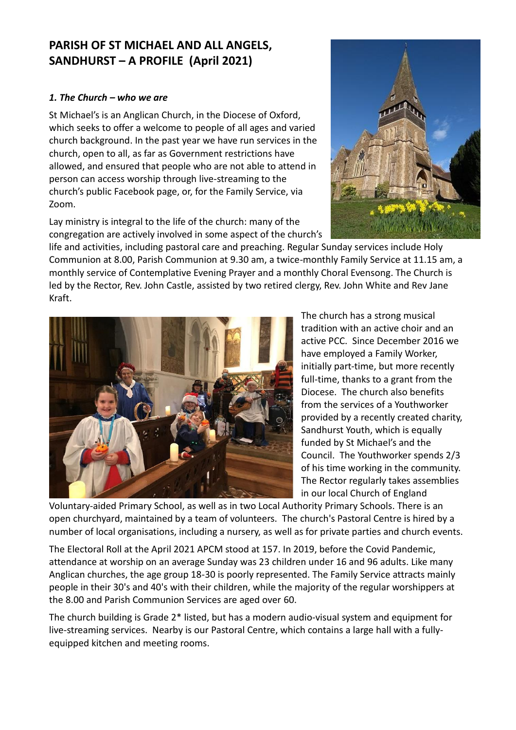## **PARISH OF ST MICHAEL AND ALL ANGELS, SANDHURST – A PROFILE (April 2021)**

## *1. The Church – who we are*

St Michael's is an Anglican Church, in the Diocese of Oxford, which seeks to offer a welcome to people of all ages and varied church background. In the past year we have run services in the church, open to all, as far as Government restrictions have allowed, and ensured that people who are not able to attend in person can access worship through live-streaming to the church's public Facebook page, or, for the Family Service, via Zoom.

Lay ministry is integral to the life of the church: many of the congregation are actively involved in some aspect of the church's



life and activities, including pastoral care and preaching. Regular Sunday services include Holy Communion at 8.00, Parish Communion at 9.30 am, a twice-monthly Family Service at 11.15 am, a monthly service of Contemplative Evening Prayer and a monthly Choral Evensong. The Church is led by the Rector, Rev. John Castle, assisted by two retired clergy, Rev. John White and Rev Jane Kraft.



The church has a strong musical tradition with an active choir and an active PCC. Since December 2016 we have employed a Family Worker, initially part-time, but more recently full-time, thanks to a grant from the Diocese. The church also benefits from the services of a Youthworker provided by a recently created charity, Sandhurst Youth, which is equally funded by St Michael's and the Council. The Youthworker spends 2/3 of his time working in the community. The Rector regularly takes assemblies in our local Church of England

Voluntary-aided Primary School, as well as in two Local Authority Primary Schools. There is an open churchyard, maintained by a team of volunteers. The church's Pastoral Centre is hired by a number of local organisations, including a nursery, as well as for private parties and church events.

The Electoral Roll at the April 2021 APCM stood at 157. In 2019, before the Covid Pandemic, attendance at worship on an average Sunday was 23 children under 16 and 96 adults. Like many Anglican churches, the age group 18-30 is poorly represented. The Family Service attracts mainly people in their 30's and 40's with their children, while the majority of the regular worshippers at the 8.00 and Parish Communion Services are aged over 60.

The church building is Grade 2\* listed, but has a modern audio-visual system and equipment for live-streaming services. Nearby is our Pastoral Centre, which contains a large hall with a fullyequipped kitchen and meeting rooms.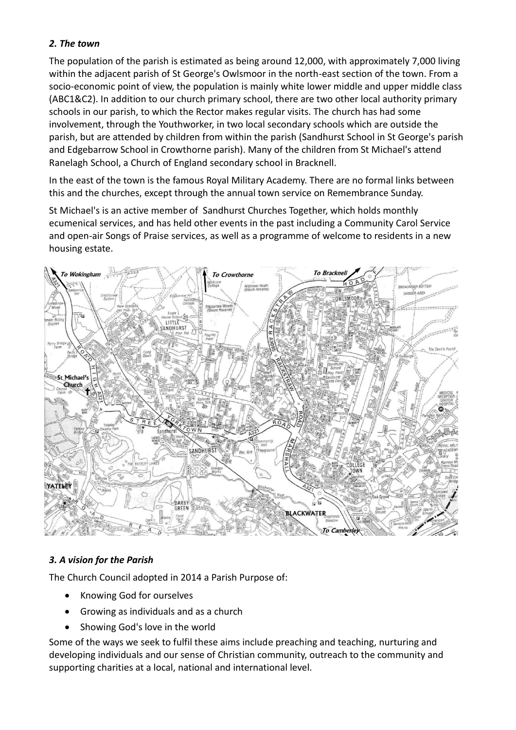## *2. The town*

The population of the parish is estimated as being around 12,000, with approximately 7,000 living within the adjacent parish of St George's Owlsmoor in the north-east section of the town. From a socio-economic point of view, the population is mainly white lower middle and upper middle class (ABC1&C2). In addition to our church primary school, there are two other local authority primary schools in our parish, to which the Rector makes regular visits. The church has had some involvement, through the Youthworker, in two local secondary schools which are outside the parish, but are attended by children from within the parish (Sandhurst School in St George's parish and Edgebarrow School in Crowthorne parish). Many of the children from St Michael's attend Ranelagh School, a Church of England secondary school in Bracknell.

In the east of the town is the famous Royal Military Academy. There are no formal links between this and the churches, except through the annual town service on Remembrance Sunday.

St Michael's is an active member of Sandhurst Churches Together, which holds monthly ecumenical services, and has held other events in the past including a Community Carol Service and open-air Songs of Praise services, as well as a programme of welcome to residents in a new housing estate.



## *3. A vision for the Parish*

The Church Council adopted in 2014 a Parish Purpose of:

- Knowing God for ourselves
- Growing as individuals and as a church
- Showing God's love in the world

Some of the ways we seek to fulfil these aims include preaching and teaching, nurturing and developing individuals and our sense of Christian community, outreach to the community and supporting charities at a local, national and international level.